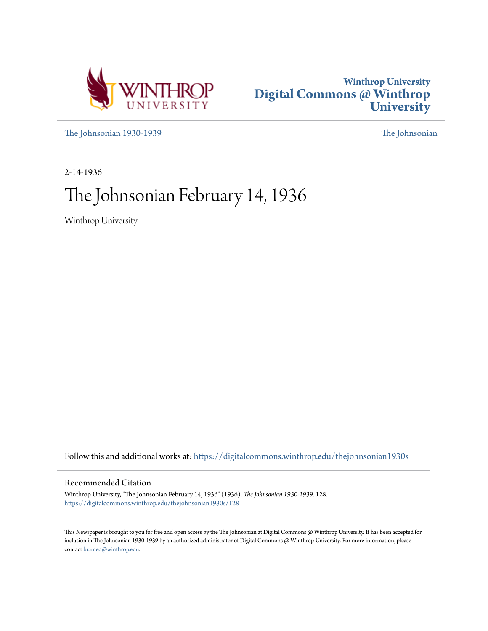



[The Johnsonian 1930-1939](https://digitalcommons.winthrop.edu/thejohnsonian1930s?utm_source=digitalcommons.winthrop.edu%2Fthejohnsonian1930s%2F128&utm_medium=PDF&utm_campaign=PDFCoverPages) [The Johnsonian](https://digitalcommons.winthrop.edu/thejohnsonian_newspaper?utm_source=digitalcommons.winthrop.edu%2Fthejohnsonian1930s%2F128&utm_medium=PDF&utm_campaign=PDFCoverPages)

2-14-1936

# The Johnsonian February 14, 1936

Winthrop University

Follow this and additional works at: [https://digitalcommons.winthrop.edu/thejohnsonian1930s](https://digitalcommons.winthrop.edu/thejohnsonian1930s?utm_source=digitalcommons.winthrop.edu%2Fthejohnsonian1930s%2F128&utm_medium=PDF&utm_campaign=PDFCoverPages)

### Recommended Citation

Winthrop University, "The Johnsonian February 14, 1936" (1936). *The Johnsonian 1930-1939*. 128. [https://digitalcommons.winthrop.edu/thejohnsonian1930s/128](https://digitalcommons.winthrop.edu/thejohnsonian1930s/128?utm_source=digitalcommons.winthrop.edu%2Fthejohnsonian1930s%2F128&utm_medium=PDF&utm_campaign=PDFCoverPages)

This Newspaper is brought to you for free and open access by the The Johnsonian at Digital Commons @ Winthrop University. It has been accepted for inclusion in The Johnsonian 1930-1939 by an authorized administrator of Digital Commons @ Winthrop University. For more information, please contact [bramed@winthrop.edu](mailto:bramed@winthrop.edu).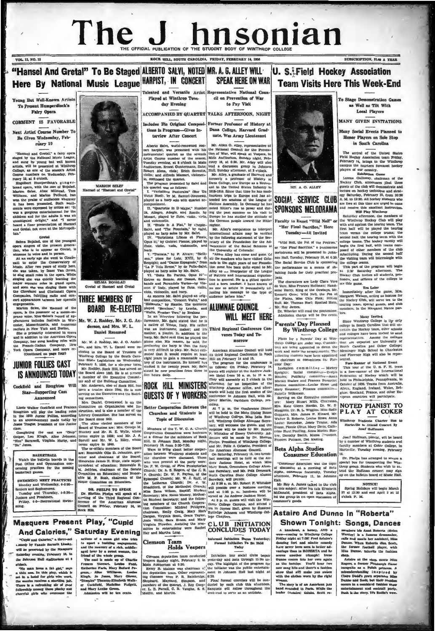### The **ISONIAN** OFFICIAL PUBLICATION OF THE STUDENT BODY OF

HILL SOUTH CAROLINA, FRIDAY, FEBRUARY

VOL. 11, NO. 15

SUBSCRIPTION, SLOO A YEAR

"Hansel And Gretal" To Be Staued ALBERTO SALVI, NOTED MR. A. G. ALLEY WILL **U. S. Field Hockey Association** Here By National Music League HARPIST, IN CONCERT **SPEAK HERE ON WAR Team Visits Here This Week-End** Talented and Versatile Artist Representative National Co

Young But Well-Known Artists To Present Humperdinck's Fairy Opera

COMMENT IS FAVORABLE Next Artist Course Number To

Be Given Wednesday, February 19

 $\begin{tabular}{l|c|c|c} \multicolumn{1}{c}{\textbf{P14T}} & \multicolumn{1}{c}{\textbf{F1T}} & \multicolumn{1}{c}{\textbf{F1T}} & \multicolumn{1}{c}{\textbf{F1T}} & \multicolumn{1}{c}{\textbf{F1T}} & \multicolumn{1}{c}{\textbf{F1T}} & \multicolumn{1}{c}{\textbf{F1T}} & \multicolumn{1}{c}{\textbf{F1T}} & \multicolumn{1}{c}{\textbf{F1T}} & \multicolumn{1}{c}{\textbf{F1T}} & \multicolumn{1}{c}{\textbf{F1T}} & \multicolumn{1}{$ 

#### Gretal

Gehma Bojalad, one of the youngest<br>temperatures of the premise general general states than the state of the species<br>than, who is to appear as Gretal, is a state of the species of the<br>state of the conservatory of the specif singing she was quietly learning<br>major soprano rules in grand op<br>and soon she was singing them v<br>the Cleveland and Cincinnati Op with the Clere nati Opera suies, fulfilling radio and con cert appear ments. ion Selee, the Ham el of the Ŧ

Marinon Schee, the Higensel of the poster of a memoric prano weies. Miss Scheen are<br>prano wises. Miss Scheen and the properation of a memoric prano wises. Miss Scheen and the<br>perametrical in Worldwich and materials in New

### **JUNIOR FOLLIES CAST IS ANNOUNCED TODAY**

Cockfield and Roughton Will Star-Supporting Cast

cass...<br>Completing the cast are "Snip".<br>"Hen Barawell, Virginia Harby, and<br>"Hen" Jennmin." Jennes

EXAMELTERALLY Watch the buildtip boards in the past Office and Oymnautum concerning practices for the coming basketball games.

Monday and Wed day, 4-5:30 monusy and wennessly, 4-3:30-<br>Seniors and Sophomores.<br>Tuesday and Thursday, 4-5:30-<br>Juniors and Preahmen.<br>Priday, 4-5--Recreational Swim-

**NON SELEP** MA el and Gretal" Has E" lo fs



Mr. W. J. Roddey, Mr. J. G. Ar. derson, and Mrs. W. L.

Mr. W. J. Hondary, Mr. J. C. Ander-<br>son, and Mrs. W. L. Daniel were re-<br>elected to the Board of Trustees of<br>Winthrop Collego by the South Caro-<br>line Mate Legislature on Wednesday.<br>February 5, 1936, for a ske-year term.

Mr. Roddey, Rock Hill, has served on<br>the Board since 1893. He is at present<br>a member of the Executive Commit-<br>tee and of the Building Committee. Mr. Anderson, also of Rock Hill, has<br>been a trustee since 1920, He is now<br>serving on the Executive and the Bull-

Star—Supportling Cast series at transmitter on Crackie since the Branchieses and Hamburgham and Hamburgham and Hamburgham and Hamburgham and Hamburgham and Hamburgham and Hamburgham and Hamburgham and Hamburgham and Hambu es on Ex

# DE. PHELPS TO SPEAR Dr. Shelton Pheips will speak at a narrithm of the Tube for the American Connel Council on Friday, February 14, in ork HILL

**Masquers Present Play, "Cupid And Calories," Saturday Evening** 

"Cupid and Calories," a three-act Cupes and Cateries, which can<br>will be provented by the Manguers<br>Saturday evening, February 16, in on Hall Auditori  $m$  at  $B$ 

For Case of a mean girl who lets a general of a mean girl who lets and the receiver of a relation state of the state of the state property of a relation of the state runs of the state runs of the state runs of the state ru

cil on Prevention of Way **Played at Winthrop Tues**to Pay Visit

ACCOMPANIED BY QUARTET TALKS AFTERNOON, NIGHT Includes His Original Composi-Former Professor of History at

tions in Program—Gives In- Dana College, Harvard Grad-<br>terview After Concert uate, Was Army Lieutenant

and college, Harvard Grad-<br>
Lettre Bow Arres In-<br>
Mann College, Harvard Grad-<br>
Lettre Bow, work-renover constraints on the station of the Prevent<br>
Lettre Bow Arres and the stational council for the Preventing quarties and

day Evening

# **THREE MEMBERS OF** inal composition, "Consert Watt," and  $\sum_{\text{Hilb}}$  and  $\sum_{\text{Hilb}}$  and  $\sum_{\text{Hilb}}$  and  $\sum_{\text{Hilb}}$  and  $\sum_{\text{Hilb}}$  and  $\sum_{\text{Hilb}}$  and  $\sum_{\text{Hilb}}$  and  $\sum_{\text{Hilb}}$  and  $\sum_{\text{Hilb}}$  and  $\sum_{\text{Hilb}}$  and  $\sum_{\text{Hilb}}$  **BOARD RE-ELECTED**

**Daniel Renamed** 

Mr. W. J. Roddey, Mr. J. G. Ander

narp, Mr. Saivi said that he played the<br>piano also. His reason, he said, for<br>preferring the harp is that the harp<br>is very difficult to play. Mr. Salvi estiis very diffusive to play Arc Salve ent-<br> $\mu$ . Anomic some consent suit boots and the centrical to make the<br>state at least use that in the centrical conformers in Rock cery of the tax<br>function and successible man- plate a

**EQUESTS OF Y WORKERS** concretes in Johnson Ball, with Mr.<br>  $\frac{1}{10}$  Externe Cooperation Between the sinker action college.<br>
Fraction Contrelation Section 1981 in the based in the Mr. Theorem and Students is and Student

Info Clemson Team<br>Holds Vespers

# nal Kaliation Began Yesterday;<br>ormal Initiation To Bo Held<br>Teday

more

American Alunnae Council will hold

**Holds Vespers** remains considered intention and other between the sector of the sector of the sector of the sector and the dependent of the dependence of the dependence of the dependence of the dependence of the dependen



SOCIAL SERVICE CLUB SPONSORS MELODRAMA

ME A. G. ALLEY

caling finds for their precisel pro-<br>  $^{18}$  250 sections are larger than the caling factor in the case of the college to<br>
The character are larger than the case of the college to<br>
de Vere, Miss Prances Hoffman; Hand- $^{18$ WILL MEET HERE

**Figures 1978** and the central of the central of the central of the central of the central of the scheme in the becker in the behavior of the central policies in the scheme in the scheme of the central of the scheme of th

### **Beta Alpha Studies Consumer Education**

"Consumer Education was the topic<br>of discussion at a meeting of Beta<br>Alpha, commerce fraternity, Tuesday<br>afternoon, February 11, in Johnson

ITali.<br>
METON A James taiked to the club MOTICE:<br>
on this analyst Schell, a physical Byring Boldays will be<br>spin March METOnald, persident of Beta Aipha. 37 at 12:30 and end April 3 at 10<br>
18d the group in en open discuss

### **Astaire And Dunne In "Roberta"** Shown Tonight: Songs, Dances

Annobest, a hency (VIII 1971)<br>
The comparison of the state of the state of the Prince College of the Prince College of the SP<br>state of the SP state of the SP state of the SP state of the state<br>
Prince Box is a ROBERTA and

story is of an American<br>stranded in Paris. While<br>Actains) (blubs. Beat

**To Stage De** metrotion Camer as Well as Tilt With Local Players

**MANY GIVEN INVITATIONS** 

Many Social Events Planned to **Honor Players on Sole Stop** in South Carolina

The arrival of the United States The arrival of the United States<br>
Field Rockey Association team Priday,<br>
February 14, brings to the Winkhrop<br>
campus the fourteen foremost hockey<br>
players of our country.<br>
Exhibition Game

Lorena Galloway, chair Lorena Galloway, chairman of the control Herbert Theory (The club will demonstrate and the letter on hockey technique and strated egy Saturday, Pebruary 18, from 10:30<br>A. A. O. 12:30, All hockey stellar who are the club to

Corresponding that the beat are the property of the content of the content of the content of the content of the content of the content of the content of the content of the content of the content of the content of the conte Will<br>Saturday off in, the members of

Many Invited<br>Since Winthrop College is the

Jost Hoffman, planist, will be be<br>by a number of Winthrop students<br>faculty members at Coker College<br>Hartsville, Turaday evening, Febru College, in  $\frac{1}{18}$ 

18.<br>Dr. Phelps has arranged to secure a<br>special bus for transporting the Win-<br>throp group. Students who wish to al-<br>trud the Ediffman concert may signed up on the bulkelin board of Music Hall.

members his Anni Roberts (Helen<br>Westley) h a famous dressmaker, calls and meets her assistant, Miss<br>Drame. When Roberts dies, Scott, Miss<br>the former fostball player, while<br>also

can-<br>
Schop, mental the ahop, meets Miss<br>
Angers, a former Pittsburgh flame<br>
incograbio as a Pallah princes.<br>
a Pallah princes of the mission of the Didder Didder<br>
Dunne and Scotis, but their remines of<br>
Dunne and Scotis,

it and cocktain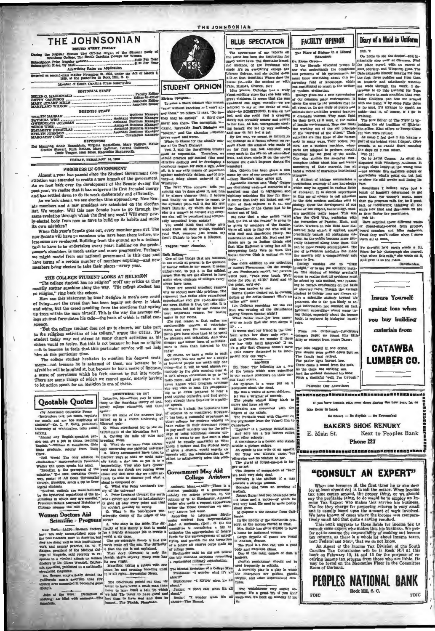### THE JOHNSONIAN

1980/ED NVERY FRIDAY<br>the Regular Session The Official Organ of the Student Body of<br>winthrop College, The South Carolina College for Women on Price (regular sen

Advertising Rates on Appl adam the Act of M  $-81.1000...$ 

| EXILENCE BE ESCUAL CLEAN MARVAL FLORENCE<br>1879, at the postoffice in Rock Hill, S. C. |  |
|-----------------------------------------------------------------------------------------|--|
| Member of Bouth Carolina Press Association                                              |  |
| <b>EDITORIAL STAPP</b>                                                                  |  |
| <b>BUSINESS STAFF</b>                                                                   |  |
|                                                                                         |  |

**PPROPTERS** 

n, Virginia McKeithen, Mary Phillips, H.<br>rihes, Mary Gallman, Lorena Galloway,<br>an Most, Madeleine Haynsworth aning, Annie Rosenblum,<br>eene Stewart, Ruth Beth<br>Jessie Teague, Jean FRIDAY, FEBRUARY 14, 1936

### PROGRESS IN GOVERNMENT

Almost a year has passed since the Student Government Co Almost a year nas passed sure the clueent dovernment con-<br>stitution was amended to create a new branch of the government.<br>As we look back over the development of the Senate during the As we look back over the development of the season and settled chergy<br>past year, we realize that it has outgrown its first frenzied chergy<br>and has settled down to do its work deliberately and efficiently.<br>As we look ahead,

are memoria and a new presume are somewhere on the traction<br>list. We wonder: Will this new Senate have to go through the<br>same evolution through which the first one went? Will every new-<br>ly-elected body from now on have to its own mistakes?

When this year's Senate goes out, every member goes out. The When this year's center goes out, every neuron a geometry of the particular and the set of the set of the particular from the ground p is a tedious consideration of the ground p is a tedious that to have to be undertaken e we might model from our national government in this case and Ruth Bett mber of members expiring-and new have terms of a certain nu is being elected to take their places-every year.

### THE COLLEGE STUDENT LOOKS AT RELIGION

"The college student has no religion" scoff our critics as they merrily scatter sugahine along the way. The college student has no religion," ring back the ech

How can this statement be true? Religiou is man's own creed mow can thus statement of true: Rengion is man a own refeed of living-mot the treed that has been legally set down in black<br>of living-moth ereed resulting from the emotions that spring<br>and white, but the creed resulting fr

"But the college student does not go to church, nor take part "But the college student does not go to church, nor take part<br>in the religious activities of his college," argue the critics. The<br>student today may not attend as many church activities as his<br>student today argue to feels

the because he rees a material constant of the contract of the contract of the college student hesitates to mention his deepest senti-<br>The college student hesitates to mention in decree sential mention to because he is a<br>f assesse of saretoness which be feels cannot be put into words.<br>
a sense of saretoness which be feels cannot be put into words.<br>
There are some things of which we cannot speak, merely having<br>
to let action speak for us. Rel

ngain-

### **Ouotable Quotes**

(By Associated Collegiate Press) Mgain-<br>Here are some of the answers that<br>turned up in a recent University of ra talk too much, regula d are too map ous of turned up in a recent currency of<br>Missouri quistical represent led to the education<br>than the Mondellan law?<br>A Culting the latis off raice and<br>breeding them.<br>Q. What do we learn from astron-Dr. L. P. B Stelg, president.<br>rton, talks about

shoot any English-speaking per<br>can get a job in China teachin<br>tish."--William E. Daugherty, Oh

now.<br>"Hell Week? The only solution is

a get a job in Chias teaching breeding them. The statistic five and a gradient, coupling Expansion, Ohio Q. What do we fear from the relation production. Needly actually tested in the statistic production is the coupling regel were Trace output of the limit of the product in Figure 7 and the mind.<br>
Walter Dill Soott speaks his mind.<br>
"Anchersking is the gravepard of the<br>
"Anchersking" is the gravepard of the<br>
mahalays." The Rev. Cornelhus

by the hy

# **Women Doctors Aid**

**men Doctors Aid** animals and a substitute the six-hower pre-<br>
year. (are the six-horizon of the six-horizon pre-<br>
year. (are the six-horizon of the six-horizon of the six-horizon of the six-horizon of the six-horizon of Work-(ACP)-Women docto not<br>est re they are doing well in both institutional<br>work and general practice, Dr. W. T.<br>Sanger, president of the Medical Col- $\overline{\circ}$ ia special unit

Dr. 6

te of the week: Definition

THE JOHNSONIAN



## STUDENT OPINION

 $\begin{tabular}{ll} \hline & \multicolumn{2}{c}{\textbf{in}} & \multicolumn{2}{c}{\textbf{in}} & \multicolumn{2}{c}{\textbf{in}} & \multicolumn{2}{c}{\textbf{in}} & \multicolumn{2}{c}{\textbf{in}} & \multicolumn{2}{c}{\textbf{in}} & \multicolumn{2}{c}{\textbf{in}} & \multicolumn{2}{c}{\textbf{in}} & \multicolumn{2}{c}{\textbf{in}} & \multicolumn{2}{c}{\textbf{in}} & \multicolumn{2}{c}{\textbf{in}} & \multicolumn{2}{c}{\textbf{in}} & \multicolumn{2}{c}{\textbf{in}} &$ 

Winthrop.<br>The Nickt Time someone tells you<br>conting can be done about it, ask him<br>the always observes them. I believe<br>that finally ver will have to resort to<br>the siphabel plan, call it, the DD (for<br>the siphabel plan, call i

ho is a memor to humself and every-<br>me is a memor to humself and every-<br>rily ostracized from society!<br>You would think that college girts<br>you would think that college girts<br>bout low all these things, wouldn't<br>bout District

Tagged: "Dot" Mannius.

Ruth Bethes,<br>In one of the kinetic parameter and the series are two tous the form of the linear that are forecasts Social Service Club is putting on this<br>in our minds at present, is the question of capar addition to our c

mast important reason, for navns<br>radios in our reoma.<br>The real reason is that radios are<br>inerchausible sources of entertain-<br>inerchausible sources of real real real real through the top spending the real stress<br>that the sp

produce the radio in each series and response to the radio in each product of course, we have a detection of the radio of the radio of the radio term of the radio term of the radio term in the radio term in the radio term SOMETHING TO IT?<br>Columbia, Mo.-There may be something to the American theory of uni-<br>versity college education, and then

(1) coord aires<br>of the match that is a politically the state and the constant is a<br>specific and the state of the state of the state of the state and the<br>of the state of the state of the state of the state of the state rea effort to satisfactorily solve this pro essus<br>lem.

### **Government May Aid** College Aviators

Amheri, Mass. (African Control of the State Control of the State Control of the State Control of the State Control of the State Control of the State Control of the State Control of the Mass and the Control of the Control o runds for the encouragement of college<br>flying, and provide for the formation<br>of a junior air reserve corps made up<br>of college filers.<br>Strohmeter said he did not believe<br>the bill intended anything resembling

 $\begin{tabular}{l|c|c|c|c|c|c|c|c} \hline \multicolumn{2}{c}{\textbf{Strohunder}} & \textbf{and} & \textbf{no} & \textbf{non-conv} \\ \hline \multicolumn{2}{c}{\textbf{in~b}} & \textbf{in~b}} & \textbf{in~b}} & \textbf{in~b}} & \textbf{in~b}} & \textbf{in~b}} & \textbf{in~b}} & \textbf{in~b}} & \textbf{in~b}} & \textbf{in~b}} & \textbf{in~b}} & \textbf{in~b}} & \textbf{in~b}} & \textbf{in~b}} & \textbf{in~b}} & \textbf{$  $t^*e$  all

Predimant: "A winder what it's all<br>about?"<br>Explorator: "A KNOW what it's all<br>a hout."<br>I Juntor: "A don't care what it's all<br>a about." Twender what if's all<br>about." Twender what if's all<br>about." Twender what if's all

**RLUE SPECTATOR** 

# The appearance of our reports of ne has been the insurration for the some has been the inspiration for many weird tales. The Speciator head, for instance, of the freehman who made A's on everything except her Library Science, and also pulled down a bounded the substitution in the subst

Pate, Kismet, Chance, etc?<br>Miss Mamle Gulledge has a truly muram Spätzhis-<br>
To some a Ben't Disserb ago musins, presi i virdores. It seems that side utility "one some a Ben't Disserb ago musins, control with the main of the set of minimide the set of minimide the set of minimide hlond.e rdling story that she tells with great vividness. It seems that she was

because she didn't improve during the location has been given a new order and hands been given a stress of our prominent and "Engly Octomber of the control and the different and the best of the analytic and the particle o

It is seen<br>a that our friend in the Unit Ethiopian writes her diary only after a<br>time writes her diary only after a vest of these if there are are bury build interval<br>of T is a see bury build intervals T is a set of the s

He was a wrighter of consert).<br>The people wished King Mark to maximum a have an air.<br>Miracles are concerned with the angle with the state of the saids.<br>The Purishans went with Chaucer can be the plurings from the Tabard I

de is the wife of an ap An ep<br>Sir 1 Toby was Olivia's uncle, but se was no relation to her

not. The degrees of co

re had; very sick; dead.<br>Chivalry is the attitude of a r owards a strange woman.<br>Socrates died from an over

wedlock. Robert Burns had two how -a louse and a mouse-of which he<br>was very fond. He used to write poetry

bout them.<br>Al Capone is the

forms. The middle of the nineternih In the middle of the nineternih bar given side,<br>on the finite has given side of Utak<br>a home for indignant women,  $Largn$  drame for indignant women,<br>in Analoks, France.<br>The Ford is a fine c

body and excellent chaos 

Capital punis

Capital pump in schools.<br>A morelity play is a play in which<br>the characters are gobiins, ghosts, the chara virgins, and other supernatural creatures.

er very unge<br>at life if yo The Watchtower very<br>serves: It's a great life<br>week-end, it's heck on h

The Place of Blology in a Li ъ cidentally stop over at Cleu **Dr. Eleian On** Tf the liberally aducated person is

**FACULTY OPINION** 

Diary of a Maid in Uniferm

to survey were a state of the state of the state of the state of the state of the state of the state of the state of the state of the state of the state of the state of the state of the state of the state of the state of t

than the proprim cause tor, no is good,<br>bad, or indifferent; this<br>labing all the which now kind can charitate we see which how kinds to charitate the performers,<br>by the 13:<br>to thus flatter the performers,<br> $T_{\text{B}}$  is the

We thought ha'd surely made a l<br>When for his photograph ahs pray-<br>"Out when this calls," she wrote on<br>And gave it to the maid.

**Insure Yourself** 

against loss when

you buy building

materials from

**CATAWBA** 

**LUMBER CO.** 

Next to Peoples Bank

Davidsonie

on. Pind

Peb. 7:

Ou home to a

r. Eloiso Creates-<br>
The billion in the place curred with an excess of  $\mathbf{H}$  to the<br>
next place curred with an excess of the place curred with an excess of<br>
ne understands the conditions mud, advicting and Winkhop girls II the libers<br>and problems<br>must know so<br>teresting field terresting field of knowledge, we<br>use on a constraint part of the selfare me wedge through the much. I de-<br>not modern estimate the selfare me wedge through the much can of extend<br>and return in such conditions that we like

something of their marreless at the mean of marrier<br>band a means of marreless initialization and a means of marreless in<br>the field of student of biology necumulations is the student of biology necumulations is<br>the whole a

Patronise Our Advertisers

If you have t

take them in hand

E. Main St.

**EDIC** 

*BBBBBBBBBBBBBBBBBBBBBBBBBBBBBB***B** 

uble with your shoes during the

**BAKER'S SHOE RENURY** 

one 227

"CONSULT AN EXPERT"

When one becomes iil, the first thing he or abe does<br>(or at least should do) is to call the doctor. When incomes<br>tax time comes around, the proper thing, or we should<br>say the profitable thing, to do would be to employ an

say the pronuous umage, one of the Schware come Tax Expert who makes this service bis business.<br>The fee they charge for preparing returns is very small in the same and is usually based upon the amount of work involved.<br>We

sour secrets assue over, une we conclude the South An Agent of the heaven Tax Division of the South bank on February 13, 14 and 15 for the purpose of receiving income tax returns from those who are liable. He may be found

PEOPLES NATIONAL BANK

Rock Hill, S. C.

 $FDIC$ 

Ge Smart - Be Stylish - Be E

any liv

Ignorant superstition about main the things, especially about the body, is replaced by biological

**From** the Critowraph-Lynchburg<br>liege's paper we found this little<br>ity or excerpt from Notre Dame: ditty

The sofa sagged in the ornier, The shades were pulled down just : The shades were pulled down in the same in the same of the most of the sofa, As the clock was driving two, As And the stock was driving two, And the studen Bonners<br>Ed. Note: The following a fer But, Note: The following are a few of the baners which were put on their variance of the court winter put on a few of the state put on a few of the state of the state of the state of the state of the state of the state of

 $\frac{1}{2}$  a pletu re palace.

The plural of forget-ma-not is for-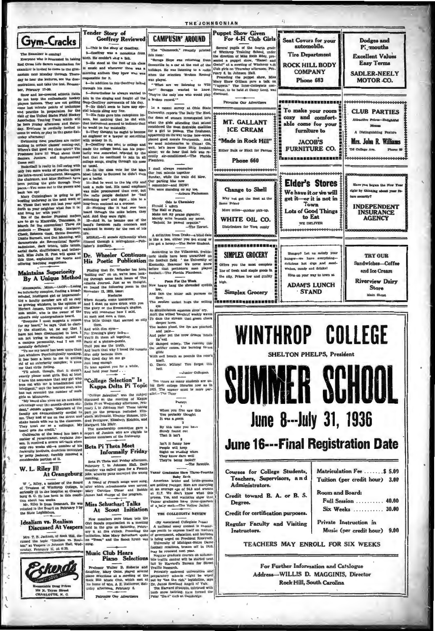

#### The Examiner is contrart

ane who is late Red Cross Life Savers exam  $m$  fo raminer is invited to come to the gym m next Monday through Thurs day to hear the lectures, see the dem tions, and take the test. Remen ber, Pebruary 17-30.

straliens, and take the test-former distribution in some.<br>
Intropy his mone, the test form of the test form of the covered at<br>hields fields  $5-$  Newtheless he always wanted to legal and test-covered at<br>hields fields of th

creamen have iii What shout those image the collage band, wowenge and we seed missionaries to Chinai it control. And Sophomores I actual in the space with the point of the latter test in the control of point in the collap

**Maintains Superiority** By A Unique Method

By A Unique Method in the two-solar simulation on the set of the state of the state in the<br>form of the state in the state in the state in the state in the state<br>in the state in the state in the state in the state in the s

beard gets the credit. "Califused and seen a continuous of the beat server set-back were interested with matter of persons and the conditional continuous control and the parameter of his fracterially brothers, doubtless m

W. L. Riley Ill

#### At Orangeburg

Riley, a member of the Board<br>stees of Winthrop Ocilege, is of Trustees of Winthrop Obliege, is<br>enfoundy ill in the hospital at Orange-<br>burg 6. C. Ete has been in this condi-<br>then about two weeks.<br>Mr. Riley is from Denmark. He was

ted to the Board on Penmark. He was Legislat



**Tender Story of Goeffrey Reviewed CAMPUSIN' AROUND** 1. This is the story of Closifier. 2-Goeffrey was a monoto

3-He stood at the foot of his class and whenever there was a morning anthem they kpew who was the for it

4-In addition to this Geoffrey talked through his nose.<br>5-Nevertheless he always wanted to

For the state and south and the latter are one of the state of the state of the state of the state of the state of the state of the state of the state of the state of the state of the state of the state of the state state

Dr. Wheeler Continues later situations, prehimed<br>His Poetic Publication the football held " the University of His Poetic Publication the football held " the University of<br>Pinding the D. Wheeler has held before that prehist runding out" on us, we've been look<br>ing through some back issues of TR<br>Atlanta Journal Just as we though<br>Atlanta Journal Just as we though<br>November 12, 1933, issue:

We know the same the come to the same of the same that with the stand in the second of the standard come of the standard come of the standard come of the standard come of the standard come of the things that seemed so the

Just long enough<br>To lean against you for a while,<br>And hold your hand . . .

#### "College Selection" Is Kappa Delta Pi Topic

integrate, ways one are accessible to the matter of such that and reversion the number of such controls and finite at Minnesotal and more than the model-sheet matter here the smooth-sheet matter here of the controls and t

#### **Beta Pi Theta Meet Informally Friday**

Beta Pi Theta met Friday afternoor<br>Pebruary 7, in Johnson Hall, Eumenber was called upon for a Fren<br>joke, whereby puns conveyed the wro Il. Esch

Miss Schuchart Talks At Scout Initiation

New members were taken into the

Patronias Our Advertisers

The "Gameoock." recently this its "Scrugs Hope was returning from

Greenville in a car at the end of the holidays. He was listening to a radio was played

What are we listening to WIS for?" Scruggs wanted to know

In a recent survey at Ohio Stat University, reports The Daily Tar Heel University, reports The Daily Tar Heel by the Schurch the gian at woman investigated into<br>considered into considerate the considered the monotonic considered the<br>monotonic considered the monotonic considered the monotonic

Now heavy tow.

And fast the bitter sait po Dow; ket hugs the The av  $m - n$ 

Aloft the wilted ? To dam the s per laves.<br>hes plead, the lips are pincl eper la

d pair yet the prow di And pr

ery. The rushing tide<br>ss, the burning fevers damped mis

glide<br>With evil breath as **I** 

knell.<br>O. Dante, Millon! You forgot this

-Ingior Collegian

Two times as many students are using their college libraries now as in<br>1925. The answer must be more parallel.—The Tiger

Peeuy:

When you first saw this<br>You probably thought<br>It was a poem 2

By this time you have<br>Suraly found out Suraly found<br>That it isn't ٠.

**Lan't it funny how<br>People will keep<br>Right on reading when** ow darn well They kn They're being for

 $-$ The R les Have Three-F ar Grade

Let, where you conveyed the wrong Vuetar Graduate Haw Tarte-Form conveyed the wrong value of Prench and the term of the specific and bride-<br>and a recept and the policy of the policy of the main star can be a<br>stary Carolin

THE COLLEGIATE REVIEW

nude snow bathing, have for roles at Cambrid

# **Puppet Show Given**<br>For 4-H Club Girls THE CHAP CHAPTER CHAPTER CHAPTER (THE STATE OF STATE AND STATE STATE STATE STATE STATE STATE STATE STATE OF WHICH CHAPTER CHAPTER (THE STATE OF STATE STATE STATE STATE STATE STATE STATE STATE STATE STATE STATE STATE STATE

Seat Covers for your

automobile.

**Tire Department** 

**ROCK HILL BODY** 

**COMPANY** 

Phone 683

....................

To make your room

cozy and comfort-

able come for your

furniture to

Turniture to<br>JACOB'S<br>FURNITURE CO.

-------------

**Elder's Stores** 

We have it or we will get it-or it is not in<br>Town

**Lots of Good Things** 

to Eat

WE DELIVER

Hungry? Let us satisfy your

hungw-we have everything delicious hot dogs and sand-wiches, candy and drinks!

Stop on your way to town at

**ADAM'S LUNCH** 

**STAND** 

**WINTHROP COLLEGE** 

**SHELTON PHELPS, President** 

**June 8--- July 31, 1936** 

**June 16---Final Registration Date** 

TEACHERS MAY ENROLL FOR SIX WEEKS

For Further Information and Catalogue Address-WILLIS D. MAGGINIS, Director **Rock Hill, South Carolina** 

Courses for College Students,

Credit toward B. A. or B. S.

**Credit for certification purposes.** 

Regular Faculty and Visiting

Administrators.

Degree.

Instructors.

Teachers, Supervisors, and

Matriculation Fee .......\$ 5.09

Tuition (per credit hour) 3.00

Full Session ......... 40.00

Six Weeks .......... 30.00

Music (per credit hour) 9.00

**Room and Board:** 

Private Instruction in

UMMER SCH

Dodges and

P. mouths

**Excellent Values** 

**Easy Terms** 

SADLER-NEELY

MOTOR CO.

**CLUB PARTIES** 

Attractive Prices-Delichtful

Menus

A Distinguishing Peature

Mrs. John R. Williams

Have you heaven the New Year

**INDEPENDENT** 

**INSURANCE**<br>AGENCY

**TRY OUR** 

Sandwiches-Coffee

and Ice Cream

**Riverview Dairy** 

**Store** 

Main Street

or about your fu-

**Phone III** 

.<br>716 College Ave.

right by think

Patronize Our Advertisers

Phone 660

**Change to Shell** 

Why not get the Best at the me Price?

More miles-ouleker pick-up.

WHITE OIL CO.

Distributors for York ounty

HORDEREERSEERSEERS

**SIMPLEX GROCERY** 

the city. Prices fow and quality

**Simplex Grocery** 

Offers you the most comp line of fresh and stanle mods in

**high** 

MT. GALLANT **ICE CREAM** "Made in Rock Hill"

THE JOHNSONIAN

ther Built or Block for P

Poem For the Week